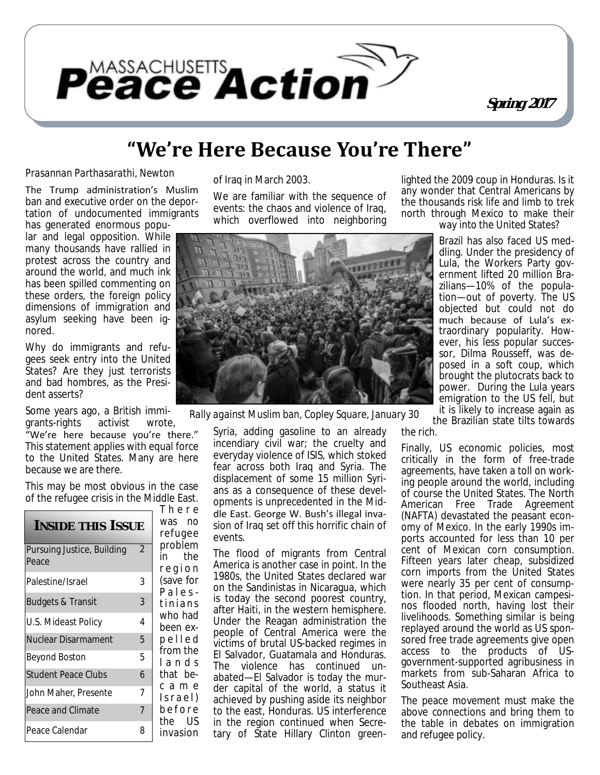

# **"We're Here Because You're There"**

#### *Prasannan Parthasarathi, Newton*

The Trump administration's Muslim ban and executive order on the deportation of undocumented immigrants

has generated enormous popular and legal opposition. While many thousands have rallied in protest across the country and around the world, and much ink has been spilled commenting on these orders, the foreign policy dimensions of immigration and asylum seeking have been ignored.

Why do immigrants and refugees seek entry into the United States? Are they just terrorists and bad hombres, as the President asserts?

Some years ago, a British immigrants-rights activist wrote,

"We're here because you're there." This statement applies with equal force to the United States. Many are here because we are there.

This may be most obvious in the case of the refugee crisis in the Middle East.

|                                     |                | There                       |
|-------------------------------------|----------------|-----------------------------|
| INSIDE THIS ISSUE                   |                | was no<br>refugee           |
| Pursuing Justice, Building<br>Peace | $\overline{2}$ | problem<br>in the<br>region |
| Palestine/Israel                    | 3              | (save for<br>Pales-         |
| <b>Budgets &amp; Transit</b>        | 3              | tinians                     |
| U.S. Mideast Policy                 | 4              | who had<br>been ex-         |
| Nuclear Disarmament                 | 5              | pelled                      |
| Beyond Boston                       | 5              | from the<br>lands           |
| <b>Student Peace Clubs</b>          | 6              | that be-                    |
| John Maher, Presente                | 7              | came<br>Israel)             |
| Peace and Climate                   | $\overline{7}$ | before<br>the US            |
| Peace Calendar                      | 8              | invasion                    |

of Iraq in March 2003.

We are familiar with the sequence of events: the chaos and violence of Iraq, which overflowed into neighboring



*Rally against Muslim ban, Copley Square, January 30*

Syria, adding gasoline to an already incendiary civil war; the cruelty and everyday violence of ISIS, which stoked fear across both Iraq and Syria. The displacement of some 15 million Syrians as a consequence of these developments is unprecedented in the Middle East. George W. Bush's illegal invasion of Iraq set off this horrific chain of events.

The flood of migrants from Central America is another case in point. In the 1980s, the United States declared war on the Sandinistas in Nicaragua, which is today the second poorest country, after Haiti, in the western hemisphere. Under the Reagan administration the people of Central America were the victims of brutal US-backed regimes in El Salvador, Guatamala and Honduras. The violence has continued unabated—El Salvador is today the murder capital of the world, a status it achieved by pushing aside its neighbor to the east, Honduras. US interference in the region continued when Secretary of State Hillary Clinton greenlighted the 2009 coup in Honduras. Is it any wonder that Central Americans by the thousands risk life and limb to trek north through Mexico to make their way into the United States?

> Brazil has also faced US meddling. Under the presidency of Lula, the Workers Party government lifted 20 million Brazilians—10% of the population—out of poverty. The US objected but could not do much because of Lula's extraordinary popularity. However, his less popular successor, Dilma Rousseff, was deposed in a soft coup, which brought the plutocrats back to power. During the Lula years emigration to the US fell, but it is likely to increase again as

the Brazilian state tilts towards

the rich.

Finally, US economic policies, most critically in the form of free-trade agreements, have taken a toll on working people around the world, including of course the United States. The North American Free Trade Agreement (NAFTA) devastated the peasant economy of Mexico. In the early 1990s imports accounted for less than 10 per cent of Mexican corn consumption. Fifteen years later cheap, subsidized corn imports from the United States were nearly 35 per cent of consumption. In that period, Mexican campesinos flooded north, having lost their livelihoods. Something similar is being replayed around the world as US sponsored free trade agreements give open access to the products of USgovernment-supported agribusiness in markets from sub-Saharan Africa to Southeast Asia.

The peace movement must make the above connections and bring them to the table in debates on immigration and refugee policy.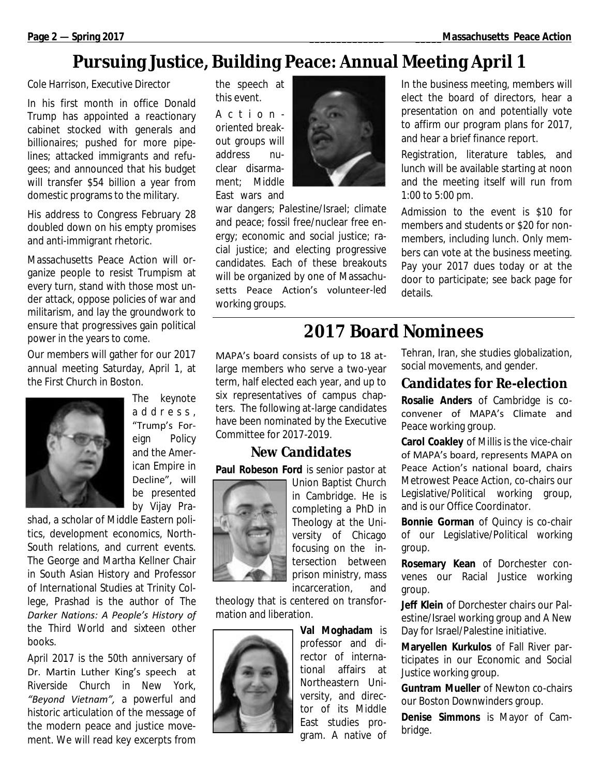# **Pursuing Justice, Building Peace: Annual Meeting April 1**

#### *Cole Harrison, Executive Director*

In his first month in office Donald Trump has appointed a reactionary cabinet stocked with generals and billionaires; pushed for more pipelines; attacked immigrants and refugees; and announced that his budget will transfer \$54 billion a year from domestic programs to the military.

His address to Congress February 28 doubled down on his empty promises and anti-immigrant rhetoric.

Massachusetts Peace Action will organize people to resist Trumpism at every turn, stand with those most under attack, oppose policies of war and militarism, and lay the groundwork to ensure that progressives gain political power in the years to come.

Our members will gather for our 2017 annual meeting Saturday, April 1, at the First Church in Boston.



The keynote a d d r e s s , "Trump's Foreign Policy and the American Empire in Decline", will be presented by Vijay Pra-

shad, a scholar of Middle Eastern politics, development economics, North-South relations, and current events. The George and Martha Kellner Chair in South Asian History and Professor of International Studies at Trinity College, Prashad is the author of *The Darker Nations: A People's History of the Third World* and sixteen other books.

April 2017 is the 50th anniversary of Dr. Martin Luther King's speech at Riverside Church in New York, *"Beyond Vietnam",* a powerful and historic articulation of the message of the modern peace and justice movement. We will read key excerpts from

the speech at this event.

A c t i o n oriented breakout groups will address nuclear disarmament; Middle East wars and



war dangers; Palestine/Israel; climate and peace; fossil free/nuclear free energy; economic and social justice; racial justice; and electing progressive candidates. Each of these breakouts will be organized by one of Massachusetts Peace Action's volunteer-led working groups.

In the business meeting, members will elect the board of directors, hear a presentation on and potentially vote to affirm our program plans for 2017, and hear a brief finance report.

Registration, literature tables, and lunch will be available starting at noon and the meeting itself will run from 1:00 to 5:00 pm.

Admission to the event is \$10 for members and students or \$20 for nonmembers, including lunch. Only members can vote at the business meeting. Pay your 2017 dues today or at the door to participate; see back page for details.

# **2017 Board Nominees**

MAPA's board consists of up to 18 atlarge members who serve a two-year term, half elected each year, and up to six representatives of campus chapters. The following at-large candidates have been nominated by the Executive Committee for 2017-2019.

### **New Candidates**

**Paul Robeson Ford** is senior pastor at



Union Baptist Church in Cambridge. He is completing a PhD in Theology at the University of Chicago focusing on the intersection between prison ministry, mass incarceration, and

theology that is centered on transformation and liberation.



**Val Moghadam** is professor and director of international affairs at Northeastern University, and director of its Middle East studies program. A native of Tehran, Iran, she studies globalization, social movements, and gender.

### **Candidates for Re-election**

**Rosalie Anders** of Cambridge is coconvener of MAPA's Climate and Peace working group.

**Carol Coakley** of Millis is the vice-chair of MAPA's board, represents MAPA on Peace Action's national board, chairs Metrowest Peace Action, co-chairs our Legislative/Political working group, and is our Office Coordinator.

**Bonnie Gorman** of Quincy is co-chair of our Legislative/Political working group.

**Rosemary Kean** of Dorchester convenes our Racial Justice working group.

**Jeff Klein** of Dorchester chairs our Palestine/Israel working group and A New Day for Israel/Palestine initiative.

**Maryellen Kurkulos** of Fall River participates in our Economic and Social Justice working group.

**Guntram Mueller** of Newton co-chairs our Boston Downwinders group.

**Denise Simmons** is Mayor of Cambridge.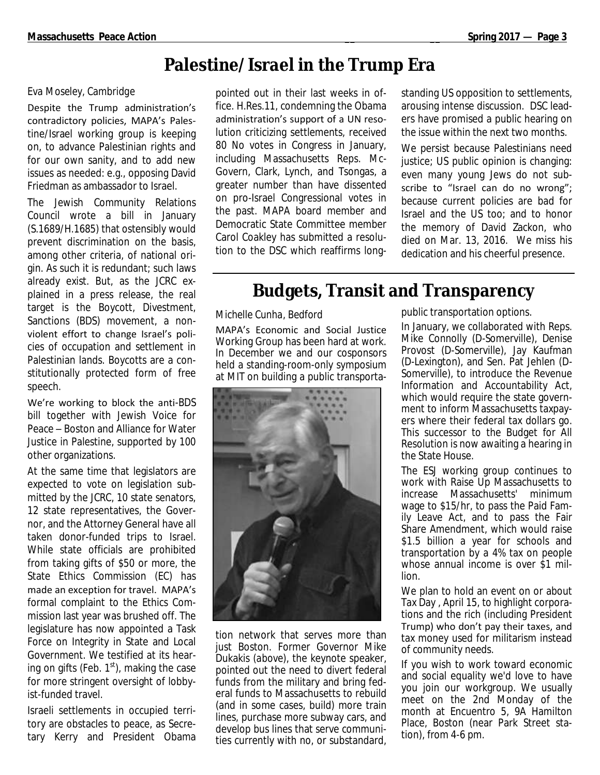# **Palestine/Israel in the Trump Era**

#### *Eva Moseley, Cambridge*

Despite the Trump administration's contradictory policies, MAPA's Palestine/Israel working group is keeping on, to advance Palestinian rights and for our own sanity, and to add new issues as needed: e.g., opposing David Friedman as ambassador to Israel.

The Jewish Community Relations Council wrote a bill in January (S.1689/H.1685) that ostensibly would prevent discrimination on the basis, among other criteria, of national origin. As such it is redundant; such laws already exist. But, as the JCRC explained in a press release, the real target is the Boycott, Divestment, Sanctions (BDS) movement, a nonviolent effort to change Israel's policies of occupation and settlement in Palestinian lands. Boycotts are a constitutionally protected form of free speech.

We're working to block the anti-BDS bill together with Jewish Voice for Peace – Boston and Alliance for Water Justice in Palestine, supported by 100 other organizations.

At the same time that legislators are expected to vote on legislation submitted by the JCRC, 10 state senators, 12 state representatives, the Governor, and the Attorney General have all taken donor-funded trips to Israel. While state officials are prohibited from taking gifts of \$50 or more, the State Ethics Commission (EC) has made an exception for travel. MAPA's formal complaint to the Ethics Commission last year was brushed off. The legislature has now appointed a Task Force on Integrity in State and Local Government. We testified at its hearing on gifts (Feb.  $1<sup>st</sup>$ ), making the case for more stringent oversight of lobbyist-funded travel.

Israeli settlements in occupied territory are obstacles to peace, as Secretary Kerry and President Obama

pointed out in their last weeks in office. H.Res.11, condemning the Obama administration's support of a UN resolution criticizing settlements, received 80 No votes in Congress in January, including Massachusetts Reps. Mc-Govern, Clark, Lynch, and Tsongas, a greater number than have dissented on pro-Israel Congressional votes in the past. MAPA board member and Democratic State Committee member Carol Coakley has submitted a resolution to the DSC which reaffirms longstanding US opposition to settlements, arousing intense discussion. DSC leaders have promised a public hearing on the issue within the next two months.

We persist because Palestinians need justice; US public opinion is changing: even many young Jews do not subscribe to "Israel can do no wrong"; because current policies are bad for Israel and the US too; and to honor the memory of David Zackon, who died on Mar. 13, 2016. We miss his dedication and his cheerful presence.

# **Budgets, Transit and Transparency**

#### *Michelle Cunha, Bedford*

MAPA's Economic and Social Justice Working Group has been hard at work. In December we and our cosponsors held a standing-room-only symposium at MIT on building a public transporta-



tion network that serves more than just Boston. Former Governor Mike Dukakis *(above)*, the keynote speaker, pointed out the need to divert federal funds from the military and bring federal funds to Massachusetts to rebuild (and in some cases, build) more train lines, purchase more subway cars, and develop bus lines that serve communities currently with no, or substandard,

public transportation options.

In January, we collaborated with Reps. Mike Connolly (D-Somerville), Denise Provost (D-Somerville), Jay Kaufman (D-Lexington), and Sen. Pat Jehlen (D-Somerville), to introduce the Revenue Information and Accountability Act, which would require the state government to inform Massachusetts taxpayers where their federal tax dollars go. This successor to the Budget for All Resolution is now awaiting a hearing in the State House.

The ESJ working group continues to work with Raise Up Massachusetts to increase Massachusetts' minimum wage to \$15/hr, to pass the Paid Family Leave Act, and to pass the Fair Share Amendment, which would raise \$1.5 billion a year for schools and transportation by a 4% tax on people whose annual income is over \$1 million.

We plan to hold an event on or about Tax Day , April 15, to highlight corporations and the rich (including President Trump) who don't pay their taxes, and tax money used for militarism instead of community needs.

If you wish to work toward economic and social equality we'd love to have you join our workgroup. We usually meet on the 2nd Monday of the month at Encuentro 5, 9A Hamilton Place, Boston (near Park Street station), from 4-6 pm.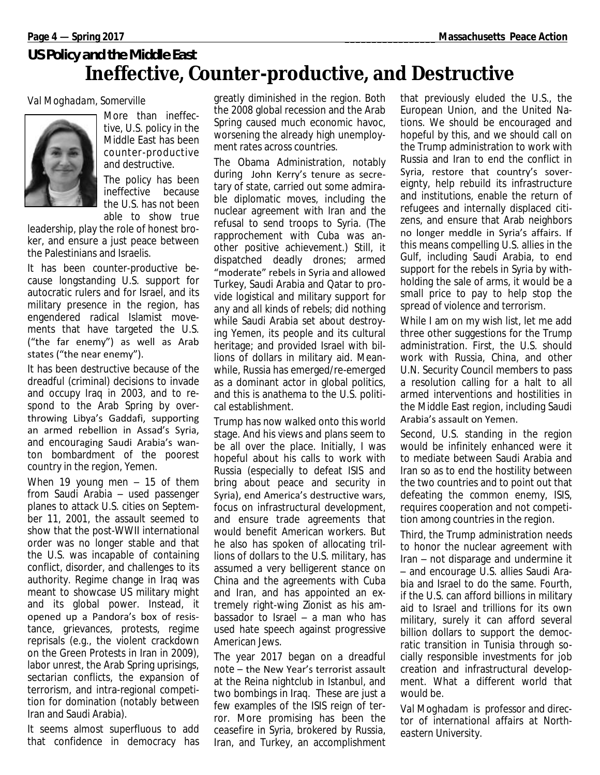## *US Policy and the Middle East* **Ineffective, Counter-productive, and Destructive**

#### *Val Moghadam, Somerville*



More than ineffective, U.S. policy in the Middle East has been counter-productive and destructive.

The policy has been ineffective because the U.S. has not been able to show true

leadership, play the role of honest broker, and ensure a just peace between the Palestinians and Israelis.

It has been counter-productive because longstanding U.S. support for autocratic rulers and for Israel, and its military presence in the region, has engendered radical Islamist movements that have targeted the U.S. ("the far enemy") as well as Arab states ("the near enemy").

It has been destructive because of the dreadful (criminal) decisions to invade and occupy Iraq in 2003, and to respond to the Arab Spring by overthrowing Libya's Gaddafi, supporting an armed rebellion in Assad's Syria, and encouraging Saudi Arabia's wanton bombardment of the poorest country in the region, Yemen.

When 19 young men – 15 of them from Saudi Arabia – used passenger planes to attack U.S. cities on September 11, 2001, the assault seemed to show that the post-WWII international order was no longer stable and that the U.S. was incapable of containing conflict, disorder, and challenges to its authority. Regime change in Iraq was meant to showcase US military might and its global power. Instead, it opened up a Pandora's box of resistance, grievances, protests, regime reprisals (e.g., the violent crackdown on the Green Protests in Iran in 2009), labor unrest, the Arab Spring uprisings, sectarian conflicts, the expansion of terrorism, and intra-regional competition for domination (notably between Iran and Saudi Arabia).

It seems almost superfluous to add that confidence in democracy has greatly diminished in the region. Both the 2008 global recession and the Arab Spring caused much economic havoc, worsening the already high unemployment rates across countries.

The Obama Administration, notably during John Kerry's tenure as secretary of state, carried out some admirable diplomatic moves, including the nuclear agreement with Iran and the refusal to send troops to Syria. (The rapprochement with Cuba was another positive achievement.) Still, it dispatched deadly drones; armed "moderate" rebels in Syria and allowed Turkey, Saudi Arabia and Qatar to provide logistical and military support for any and all kinds of rebels; did nothing while Saudi Arabia set about destroying Yemen, its people and its cultural heritage; and provided Israel with billions of dollars in military aid. Meanwhile, Russia has emerged/re-emerged as a dominant actor in global politics, and this is anathema to the U.S. political establishment.

Trump has now walked onto this world stage. And his views and plans seem to be all over the place. Initially, I was hopeful about his calls to work with Russia (especially to defeat ISIS and bring about peace and security in Syria), end America's destructive wars, focus on infrastructural development, and ensure trade agreements that would benefit American workers. But he also has spoken of allocating trillions of dollars to the U.S. military, has assumed a very belligerent stance on China and the agreements with Cuba and Iran, and has appointed an extremely right-wing Zionist as his ambassador to Israel – a man who has used hate speech against progressive American Jews.

The year 2017 began on a dreadful note – the New Year's terrorist assault at the Reina nightclub in Istanbul, and two bombings in Iraq. These are just a few examples of the ISIS reign of terror. More promising has been the ceasefire in Syria, brokered by Russia, Iran, and Turkey, an accomplishment

that previously eluded the U.S., the European Union, and the United Nations. We should be encouraged and hopeful by this, and we should call on the Trump administration to work with Russia and Iran to end the conflict in Syria, restore that country's sovereignty, help rebuild its infrastructure and institutions, enable the return of refugees and internally displaced citizens, and ensure that Arab neighbors no longer meddle in Syria's affairs. If this means compelling U.S. allies in the Gulf, including Saudi Arabia, to end support for the rebels in Syria by withholding the sale of arms, it would be a small price to pay to help stop the spread of violence and terrorism.

While I am on my wish list, let me add three other suggestions for the Trump administration. First, the U.S. should work with Russia, China, and other U.N. Security Council members to pass a resolution calling for a halt to all armed interventions and hostilities in the Middle East region, including Saudi Arabia's assault on Yemen.

Second, U.S. standing in the region would be infinitely enhanced were it to mediate between Saudi Arabia and Iran so as to end the hostility between the two countries and to point out that defeating the common enemy, ISIS, requires cooperation and not competition among countries in the region.

Third, the Trump administration needs to honor the nuclear agreement with Iran – not disparage and undermine it – and encourage U.S. allies Saudi Arabia and Israel to do the same. Fourth, if the U.S. can afford billions in military aid to Israel and trillions for its own military, surely it can afford several billion dollars to support the democratic transition in Tunisia through socially responsible investments for job creation and infrastructural development. What a different world that would be.

*Val Moghadam is professor and director of international affairs at Northeastern University.*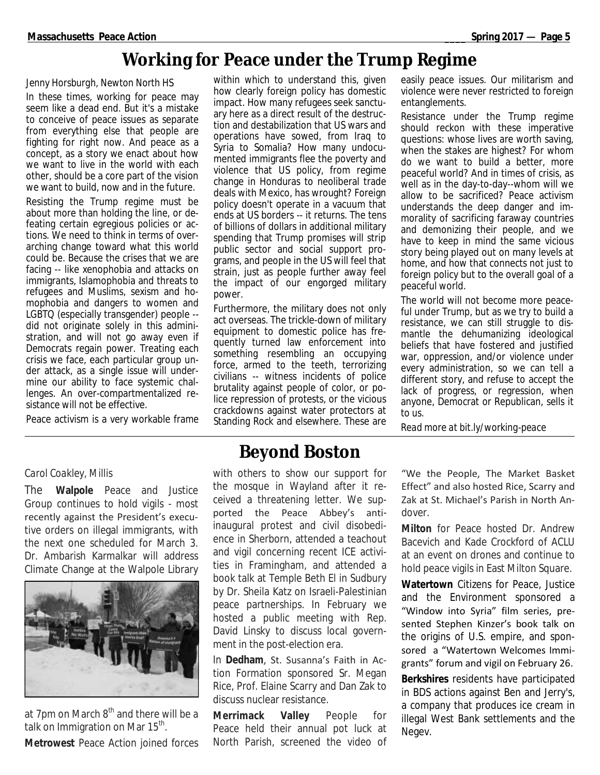## **Working for Peace under the Trump Regime**

#### *Jenny Horsburgh, Newton North HS*

In these times, working for peace may seem like a dead end. But it's a mistake to conceive of peace issues as separate from everything else that people are fighting for right now. And peace as a concept, as a story we enact about how we want to live in the world with each other, should be a core part of the vision we want to build, now and in the future.

Resisting the Trump regime must be about more than holding the line, or defeating certain egregious policies or actions. We need to think in terms of overarching change toward what this world could be. Because the crises that we are facing -- like xenophobia and attacks on immigrants, Islamophobia and threats to refugees and Muslims, sexism and homophobia and dangers to women and LGBTQ (especially transgender) people - did not originate solely in this administration, and will not go away even if Democrats regain power. Treating each crisis we face, each particular group under attack, as a single issue will undermine our ability to face systemic challenges. An over-compartmentalized resistance will not be effective.

Peace activism is a very workable frame

within which to understand this, given how clearly foreign policy has domestic impact. How many refugees seek sanctuary here as a direct result of the destruction and destabilization that US wars and operations have sowed, from Iraq to Syria to Somalia? How many undocumented immigrants flee the poverty and violence that US policy, from regime change in Honduras to neoliberal trade deals with Mexico, has wrought? Foreign policy doesn't operate in a vacuum that ends at US borders -- it returns. The tens of billions of dollars in additional military spending that Trump promises will strip public sector and social support programs, and people in the US will feel that strain, just as people further away feel the impact of our engorged military power.

Furthermore, the military does not only act overseas. The trickle-down of military equipment to domestic police has frequently turned law enforcement into something resembling an occupying force, armed to the teeth, terrorizing civilians -- witness incidents of police brutality against people of color, or police repression of protests, or the vicious crackdowns against water protectors at Standing Rock and elsewhere. These are

easily peace issues. Our militarism and violence were never restricted to foreign entanglements.

Resistance under the Trump regime should reckon with these imperative questions: whose lives are worth saving, when the stakes are highest? For whom do we want to build a better, more peaceful world? And in times of crisis, as well as in the day-to-day--whom will we allow to be sacrificed? Peace activism understands the deep danger and immorality of sacrificing faraway countries and demonizing their people, and we have to keep in mind the same vicious story being played out on many levels at home, and how that connects not just to foreign policy but to the overall goal of a peaceful world.

The world will not become more peaceful under Trump, but as we try to build a resistance, we can still struggle to dismantle the dehumanizing ideological beliefs that have fostered and justified war, oppression, and/or violence under every administration, so we can tell a different story, and refuse to accept the lack of progress, or regression, when anyone, Democrat or Republican, sells it to us.

*Read more at bit.ly/working-peace*

#### *Carol Coakley, Millis*

The **Walpole** Peace and Justice Group continues to hold vigils - most recently against the President's executive orders on illegal immigrants, with the next one scheduled for March 3. Dr. Ambarish Karmalkar will address Climate Change at the Walpole Library



at 7pm on March  $8<sup>th</sup>$  and there will be a talk on Immigration on Mar 15<sup>th</sup>.

**Metrowest** Peace Action joined forces

### **Beyond Boston**

with others to show our support for the mosque in Wayland after it received a threatening letter. We supported the Peace Abbey's antiinaugural protest and civil disobedience in Sherborn, attended a teachout and vigil concerning recent ICE activities in Framingham, and attended a book talk at Temple Beth El in Sudbury by Dr. Sheila Katz on Israeli-Palestinian peace partnerships. In February we hosted a public meeting with Rep. David Linsky to discuss local government in the post-election era.

In **Dedham**, St. Susanna's Faith in Action Formation sponsored Sr. Megan Rice, Prof. Elaine Scarry and Dan Zak to discuss nuclear resistance.

**Merrimack Valley** People for Peace held their annual pot luck at North Parish, screened the video of

"We the People, The Market Basket Effect" and also hosted Rice, Scarry and Zak at St. Michael's Parish in North Andover.

**Milton** for Peace hosted Dr. Andrew Bacevich and Kade Crockford of ACLU at an event on drones and continue to hold peace vigils in East Milton Square.

**Watertown** Citizens for Peace, Justice and the Environment sponsored a "Window into Syria" film series, presented Stephen Kinzer's book talk on the origins of U.S. empire, and sponsored a "Watertown Welcomes Immigrants" forum and vigil on February 26.

**Berkshires** residents have participated in BDS actions against Ben and Jerry's, a company that produces ice cream in illegal West Bank settlements and the Negev.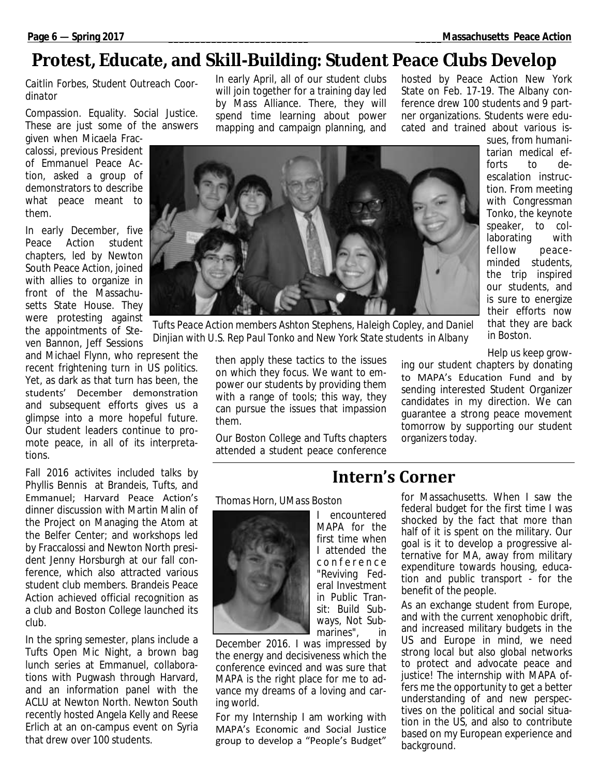## **Protest, Educate, and Skill-Building: Student Peace Clubs Develop**

#### *Caitlin Forbes, Student Outreach Coordinator*

Compassion. Equality. Social Justice. These are just some of the answers

given when Micaela Fraccalossi, previous President of Emmanuel Peace Action, asked a group of demonstrators to describe what peace meant to them.

In early December, five Peace Action student chapters, led by Newton South Peace Action, joined with allies to organize in front of the Massachusetts State House. They were protesting against the appointments of Steven Bannon, Jeff Sessions

and Michael Flynn, who represent the recent frightening turn in US politics. Yet, as dark as that turn has been, the students' December demonstration and subsequent efforts gives us a glimpse into a more hopeful future. Our student leaders continue to promote peace, in all of its interpretations.

Fall 2016 activites included talks by Phyllis Bennis at Brandeis, Tufts, and Emmanuel; Harvard Peace Action's dinner discussion with Martin Malin of the Project on Managing the Atom at the Belfer Center; and workshops led by Fraccalossi and Newton North president Jenny Horsburgh at our fall conference, which also attracted various student club members. Brandeis Peace Action achieved official recognition as a club and Boston College launched its club.

In the spring semester, plans include a Tufts Open Mic Night, a brown bag lunch series at Emmanuel, collaborations with Pugwash through Harvard, and an information panel with the ACLU at Newton North. Newton South recently hosted Angela Kelly and Reese Erlich at an on-campus event on Syria that drew over 100 students.

In early April, all of our student clubs will join together for a training day led by Mass Alliance. There, they will spend time learning about power mapping and campaign planning, and

hosted by Peace Action New York State on Feb. 17-19. The Albany conference drew 100 students and 9 partner organizations. Students were educated and trained about various is-



*Tufts Peace Action members Ashton Stephens, Haleigh Copley, and Daniel Dinjian with U.S. Rep Paul Tonko and New York State students in Albany*

then apply these tactics to the issues on which they focus. We want to empower our students by providing them with a range of tools; this way, they can pursue the issues that impassion them.

Our Boston College and Tufts chapters attended a student peace conference sues, from humanitarian medical efforts to deescalation instruction. From meeting with Congressman Tonko, the keynote speaker, to collaborating with fellow peaceminded students, the trip inspired our students, and is sure to energize their efforts now that they are back in Boston.

Help us keep grow-

ing our student chapters by donating to MAPA's Education Fund and by sending interested Student Organizer candidates in my direction. We can guarantee a strong peace movement tomorrow by supporting our student organizers today.

I encountered MAPA for the first time when I attended the c o n f e r e n c e "Reviving Federal Investment in Public Transit: Build Subways, Not Sub-

#### *Thomas Horn, UMass Boston*



marines", in December 2016. I was impressed by the energy and decisiveness which the conference evinced and was sure that MAPA is the right place for me to advance my dreams of a loving and caring world.

For my Internship I am working with MAPA's Economic and Social Justice group to develop a "People's Budget"

# **Intern's Corner**

for Massachusetts. When I saw the federal budget for the first time I was shocked by the fact that more than half of it is spent on the military. Our goal is it to develop a progressive alternative for MA, away from military expenditure towards housing, education and public transport - for the benefit of the people.

As an exchange student from Europe, and with the current xenophobic drift, and increased military budgets in the US and Europe in mind, we need strong local but also global networks to protect and advocate peace and justice! The internship with MAPA offers me the opportunity to get a better understanding of and new perspectives on the political and social situation in the US, and also to contribute based on my European experience and background.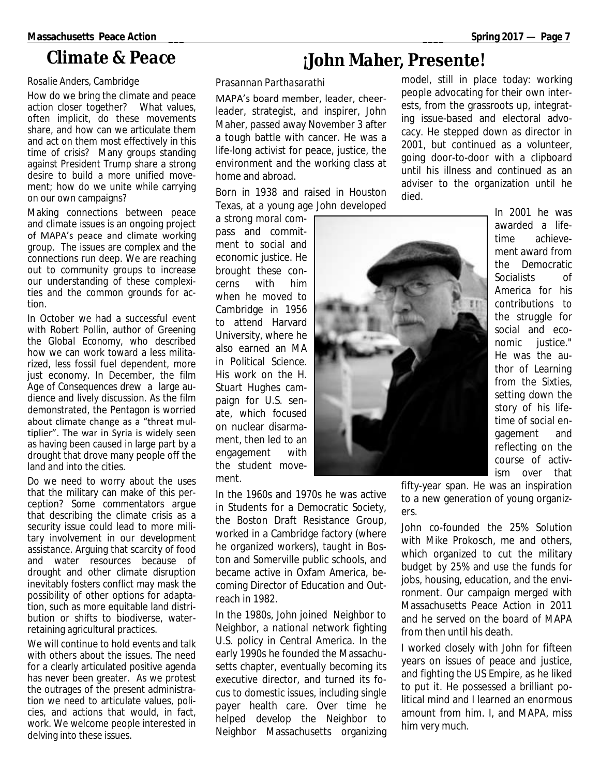### **Climate & Peace**

#### *Rosalie Anders, Cambridge*

How do we bring the climate and peace action closer together? What values, often implicit, do these movements share, and how can we articulate them and act on them most effectively in this time of crisis? Many groups standing against President Trump share a strong desire to build a more unified movement; how do we unite while carrying on our own campaigns?

Making connections between peace and climate issues is an ongoing project of MAPA's peace and climate working group. The issues are complex and the connections run deep. We are reaching out to community groups to increase our understanding of these complexities and the common grounds for action.

In October we had a successful event with Robert Pollin, author of *Greening the Global Economy*, who described how we can work toward a less militarized, less fossil fuel dependent, more just economy. In December, the film *Age of Consequences* drew a large audience and lively discussion. As the film demonstrated, the Pentagon is worried about climate change as a "threat multiplier". The war in Syria is widely seen as having been caused in large part by a drought that drove many people off the land and into the cities.

Do we need to worry about the uses that the military can make of this perception? Some commentators argue that describing the climate crisis as a security issue could lead to more military involvement in our development assistance. Arguing that scarcity of food and water resources because of drought and other climate disruption inevitably fosters conflict may mask the possibility of other options for adaptation, such as more equitable land distribution or shifts to biodiverse, waterretaining agricultural practices.

We will continue to hold events and talk with others about the issues. The need for a clearly articulated positive agenda has never been greater. As we protest the outrages of the present administration we need to articulate values, policies, and actions that would, in fact, work. We welcome people interested in delving into these issues.

# **¡John Maher, Presente!**

#### *Prasannan Parthasarathi*

MAPA's board member, leader, cheerleader, strategist, and inspirer, John Maher, passed away November 3 after a tough battle with cancer. He was a life-long activist for peace, justice, the environment and the working class at home and abroad.

Born in 1938 and raised in Houston Texas, at a young age John developed

a strong moral compass and commitment to social and economic justice. He brought these concerns with him when he moved to Cambridge in 1956 to attend Harvard University, where he also earned an MA in Political Science. His work on the H. Stuart Hughes campaign for U.S. senate, which focused on nuclear disarmament, then led to an engagement with the student movement.

model, still in place today: working people advocating for their own interests, from the grassroots up, integrating issue-based and electoral advocacy. He stepped down as director in 2001, but continued as a volunteer, going door-to-door with a clipboard until his illness and continued as an adviser to the organization until he died.

> In 2001 he was awarded a lifetime achievement award from the Democratic Socialists of America for his contributions to the struggle for social and economic justice." He was the author of *Learning from the Sixties*, setting down the story of his lifetime of social engagement and reflecting on the course of activism over that

fifty-year span. He was an inspiration to a new generation of young organizers.

John co-founded the 25% Solution with Mike Prokosch, me and others, which organized to cut the military budget by 25% and use the funds for jobs, housing, education, and the environment. Our campaign merged with Massachusetts Peace Action in 2011 and he served on the board of MAPA from then until his death.

I worked closely with John for fifteen years on issues of peace and justice, and fighting the US Empire, as he liked to put it. He possessed a brilliant political mind and I learned an enormous amount from him. I, and MAPA, miss him very much.

In the 1960s and 1970s he was active in Students for a Democratic Society, the Boston Draft Resistance Group, worked in a Cambridge factory (where he organized workers), taught in Boston and Somerville public schools, and became active in Oxfam America, becoming Director of Education and Outreach in 1982.

In the 1980s, John joined Neighbor to Neighbor, a national network fighting U.S. policy in Central America. In the early 1990s he founded the Massachusetts chapter, eventually becoming its executive director, and turned its focus to domestic issues, including single payer health care. Over time he helped develop the Neighbor to Neighbor Massachusetts organizing